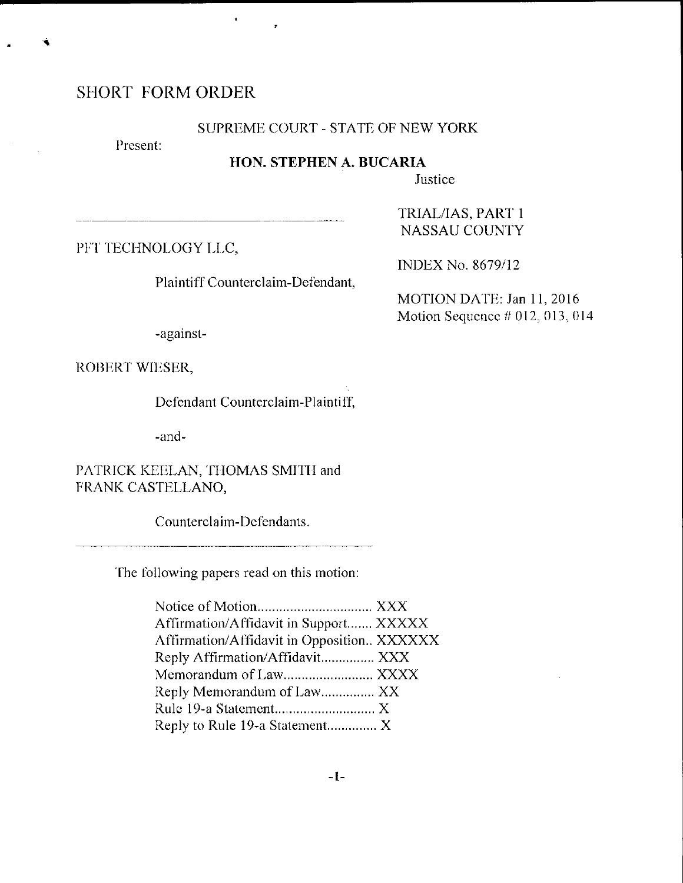# SHORT FORM ORDER

#### SUPREME COURT - STATE OF NEW YORK

Present:

# HON. STEPHEN A. BUCARIA

Justice

PFT TECHNOLOGY LLC,

Plaintiff Counterclaim-Defendant,

NASSAU COUNTY

TRIAL/IAS, PART-I

INDEX No. 8679/12

MOTION DATE: Jan 11, 2016 Motion Sequence  $#012,013,014$ 

-against-

ROBERT WIESER,

Defendant Counterclaim-Plaintiff,

-and-

PATRICK KEELAN, THOMAS SMITH and FRANK CASTELLANO,

Counterclaim-Defendants.

The following papers read on this motion:

| Affirmation/Affidavit in Support XXXXX     |  |
|--------------------------------------------|--|
| Affirmation/Affidavit in Opposition XXXXXX |  |
| Reply Affirmation/Affidavit XXX            |  |
| Memorandum of Law XXXX                     |  |
| Reply Memorandum of Law XX                 |  |
|                                            |  |
| Reply to Rule 19-a Statement X             |  |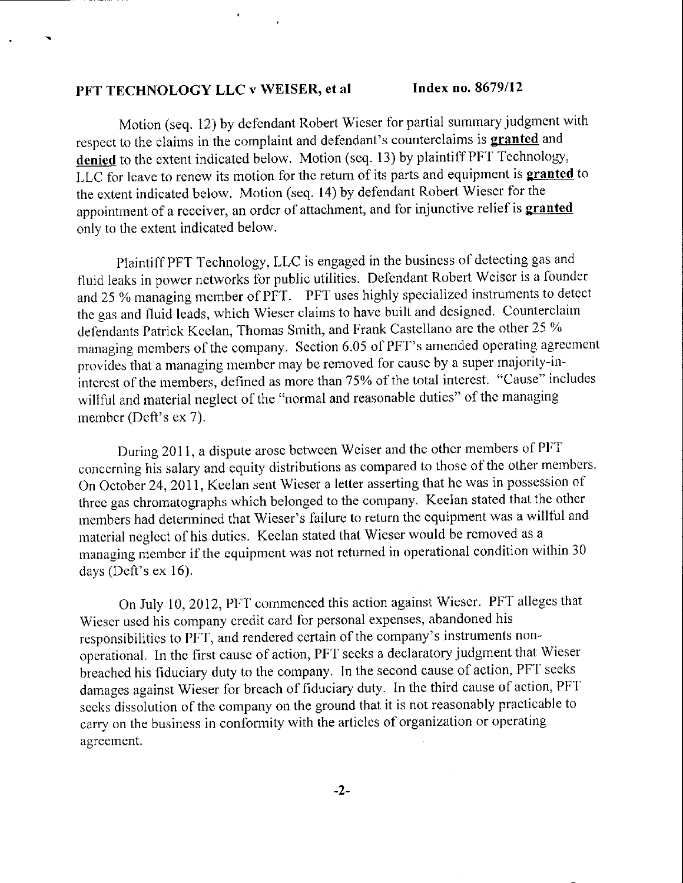Motion (seq. 12) by defendant Robert Wieser for partial summary judgment with respect to the claims in the complaint and defendant's counterclaims is granted and denied to the extent indicated below. Motion (seq. 13) by plaintiff PFT Technology, LLC for leave to renew its motion for the return of its parts and equipment is **granted** to the extent indicated below. Motion (seq. 14) by defendant Robert Wieser for the appointment of a receiver, an order of attachment, and for injunctive relief is **granted** only to the extent indicated below.

Plaintiff PFT Technology, LLC is engaged in the business of detecting gas and fluid leaks in power networks for public utilities. Defendant Robert Weiser is a founder and 25 % managing member of PFT. PFT uses highly specialized instruments to detect the gas and fluid leads, which Wieser claims to have built and designed. Counterclaim defendants Patrick Keelan, Thomas Smith, and Frank Castellano are the other 25 % managing members of the company. Section 6.05 of PFT's amended operating agreement provides that a managing membcr may be removed for causc by a super majority-ininterest of the members, defined as more than 75% of the total interest. "Cause" includes willfut and material neglect of the "normal and reasonable duties" of thc managing member (Deft's ex 7).

During 2011, a dispute arose between Weiser and the other members of PFT concerning his salary and equity distributions as compared to those of the other members. On October 24, 2011, Keelan sent Wieser a letter asserting that he was in possession of three gas chromatographs which belonged to the company. Keelan stated that the other members had determined that Wieser's failure to return the equipment was a willful and material neglect of his duties. Keelan stated that Wieser would be removed as a managing member if the equipment was not returned in operational condition within 30 days (Deft's  $ex 16$ ).

On July 10, 2012, PFT commenced this action against Wieser. PFT alleges that Wieser used his company credit card for personal expenses, abandoned his responsibilitics to PF'I, and rendered ccrtain of the company's instruments nonoperational. In the first cause of action, PFT secks a declaratory judgment that Wieser breached his fiduciary duty to the company. In the second cause of action, PFT seeks damages against Wieser for breach of fiduciary duty. In the third cause of action, PFT sceks dissolution of the company on the ground that it is not reasonably practicable to carry on the business in conformity with the articles of organization or operating aqreement.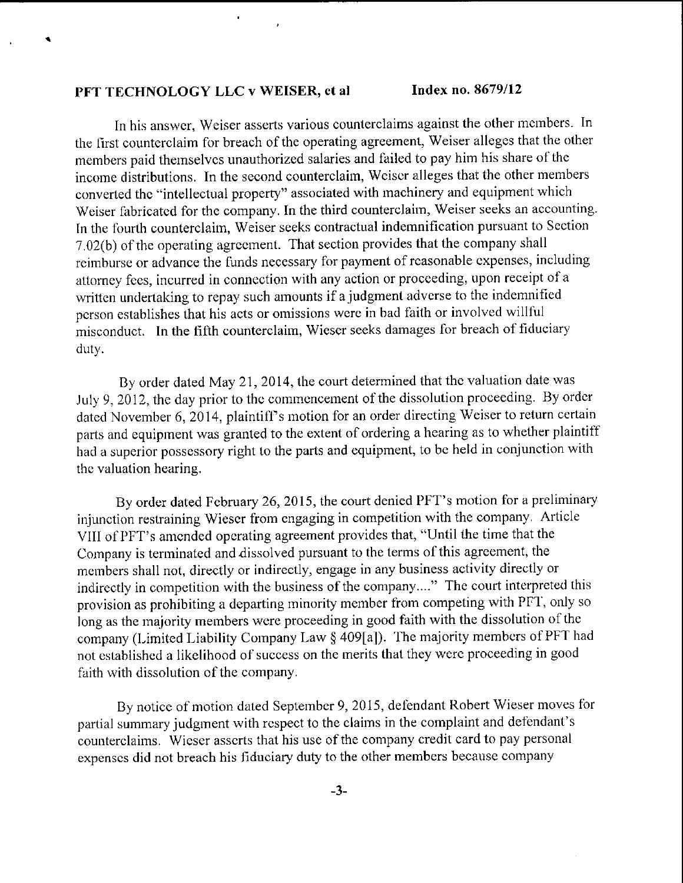٠

 $\blacksquare$ 

In his answer, Weiser asserts various counterclaims against the other members. In the first counterclaim for breach of the operating agreement, Weiser alleges that the other mernbers paid thernselvcs unauthorized salaries and failed to pay hirn his share of the incomc distributions. In the second counterclaim, Wciscr alleges that the other members converled thc "intellectual property" associated with rnachinery and equipment which Weiser fabricated for the company. In the third counterclaim, Weiser seeks an accounting. In the fourth counterclaim, Weiser seeks contractual indemnification pursuant to Section  $7.02(b)$  of the operating agreement. That section provides that the company shall reimburse or advance the funds necessary for payment of reasonable expenses, including attorney fees, incurred in connection with any action or proceeding, upon receipt of a written undertaking to repay such amounts if a judgment adverse to the indemnified person establishes that his acts or omissions were in bad faith or involved willful misconduct. In the fifth counterclaim, Wieser seeks damages for breach of fiduciary duty.

By order dated May 21, 2014, the court determined that the valuation date was July 9, 2012, the day prior to the commencement of the dissolution proceeding. By order dated November 6, 2014, plaintiff's motion for an order directing Weiser to return certain parts and equipment was granted to the extent of ordering a hearing as to whether plaintiff had a superior possessory right to the parts and equipment, to be held in conjunction with the valuation hearing.

By order dated February 26, 2015, the court denied PFT's motion for a preliminary injunction restraining Wiescr fiom cngaging in competition with the cornpany, Article VIII of PFT's amended operating agreement provides that, "Until the time that the Company is terrninated and dissolved pursuant to the terms of this agreernent, the members shall not, directly or indirectly, engage in any business activity directly or indirectly in competition with the business of the company...." The court interpreted this provision as prohibiting a departing minority member from competing with PFT, only so long as the majority members were proceeding in good faith with the dissolution of the company (Limited Liability Company Law § 409[a]). The majority members of PFT had not established a likelihood of success on the merits that they were proceeding in good faith with dissolution of the company.

By notice of motion dated September 9, 2015, defendant Robert Wieser moves for partial summary judgment with respect to the claims in the complaint and defendant's counterclaims. Wieser asserts that his use of the company credit card to pay personal expenses did not breach his fiduciary duty to the other members because company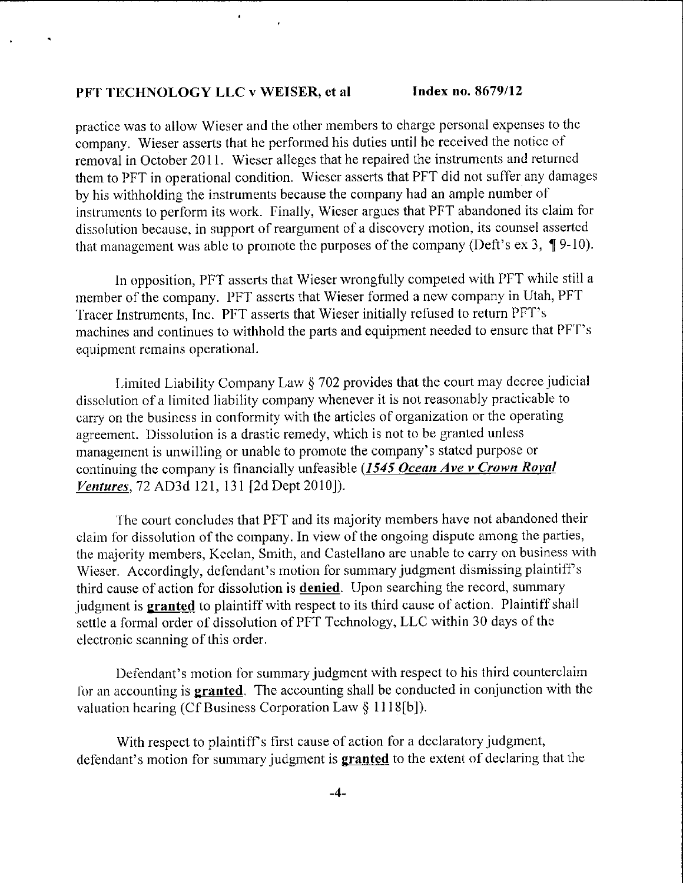practice was to allow Wieser and the other members to charge personal expenses to the company. Wieser asserts that he performed his duties until he received the notice of removal in October 2011. Wieser alleges that he repaired the instruments and returned them to PFT in operational condition. Wieser asserts that PFT did not suffer any damages by his withholding the instruments because the company had an ample number of instruments to perform its work. Finally, Wieser argues that PFT abandoned its claim for dissolution because, in support of reargument of a discovery motion, its counsel asserted that management was able to promote the purposes of the company (Deft's ex 3,  $\P$ 9-10).

In opposition, PFT asserts that Wieser wrongfully competed with PFT while still a member of the company. PFT asserts that Wieser formed a new company in Utah, PFT Tracer Instruments, Inc. PFT asserts that Wieser initially refused to return PFT's machines and continues to withhold the parts and equipment needed to ensure that PFT's equipment remains operational.

Limited Liability Company Law  $\S 702$  provides that the court may decree judicial dissolution of a limited liability company whenever it is not reasonably practicable to carry on the busincss in oonforrnity with the articlcs of organization or the operating agreement. Dissolution is a drastic remedy, which is not to be granted unless management is unwilling or unable to promote the company's stated purpose or continuing the company is financially unfeasible (1545 Ocean Ave v Crown Royal Ventures,T2 AD3d I2l,131 [2d Dept 2010]).

The court concludes that PFT and its majority members have not abandoned their claim for dissolution of the company. In view of the ongoing dispute among the parties, the majority members, Keelan, Smith, and Castellano are unable to carry on business with Wieser. Accordingly, defendant's motion for summary judgment dismissing plaintiff's third cause of action for dissolution is **denied**. Upon searching the record, summary judgment is granted to plaintiff with respect to its third cause of action. Plaintiff shall settle a formal order of dissolution of PFT Technology, LLC within 30 days of the electronic scanning of this order.

Defendant's motion for summary judgment with respect to his third counterclaim for an accounting is **granted**. The accounting shall be conducted in conjunction with the valuation hearing (Cf Business Corporation Law § 1118[b]).

With respect to plaintiff's first cause of action for a declaratory judgment, defendant's motion for summary judgment is **granted** to the extent of declaring that the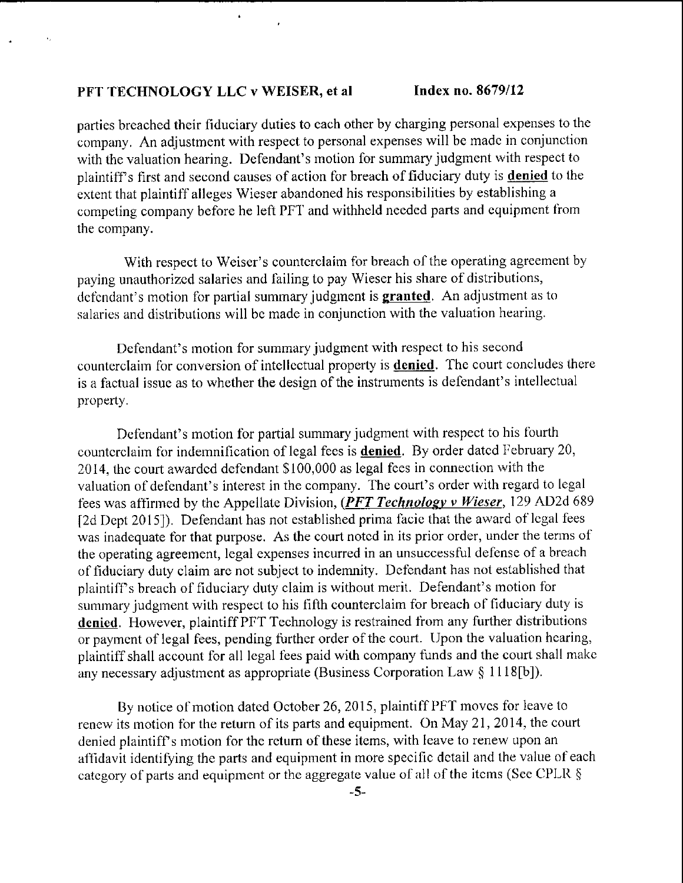parties breached their fiduciary duties to each other by charging personal expenses to the oompany. An adjustment with respect to personal expenses will be madc in conjunction with the valuation hearing. Defendant's motion for summary judgment with respect to plaintiff's first and second causes of action for breach of fiduciary duty is **denied** to the extent that plaintiff alleges Wieser abandoned his responsibilities by establishing a competing company before he left PFT and withheld needed parts and equipment from the conpany.

With respect to Weiser's counterclaim for breach of the operating agreement by paying unauthorized salaries and failing to pay Wieser his share of distributions, defendant's motion for partial summary judgment is **granted**. An adjustment as to salaries and distributions will be made in conjunction with the valuation hearing.

Defendant's motion for surnmary judgment with respect to his second counterclaim for conversion of intellectual property is **denied**. The court concludes there is a factual issue as to whether the design of the instrurnents is defendant's intellectual property.

Defendant's motion for partial summary judgment with respect to his fourth counterclaim for indemnification of legal fees is **denied**. By order dated February 20, 2014, the court awarded defendant \$100,000 as legal fees in connection with the valuation of defendant's interest in the company. The court's order with regard to legal fees was affirmed by the Appellate Division, (PFT Technology v Wieser, 129 AD2d 689 [2d Dept 2015]). Defendant has not established prima facie that the award of legal fees was inadequate for that purpose. As the court noted in its prior order, under the terms of the operating agreement, legal expenses incurred in an unsuccessful defense of a breach of fiduciary duty claim are not subject to indemnity. Defendant has not established that plaintiff's breach of fiduciary duty claim is without merit. Defendant's motion for summary judgment with respect to his fifth counterclaim for breach of fiduciary duty is denied. However, plaintiff PFT Technology is restrained from any further distributions or payment of legal fees, pending further order of the court. Upon the valuation hearing, plaintiff shall account for all legal fees paid with company funds and the court shall make any necessary adjustmcnt as appropriate (Business Corporation Law \$ 1118[b]).

By notice of motion dated October 26, 2015, plaintiff PFT moves for leave to renew its motion for the return of its parts and equipment. On May 21, 2014, the court denied plaintiff's motion for the retum of these items, with lcave to renew upon an affidavit identifying the parts and equipment in more specific detail and the value of each category of parts and equipment or the aggregate value of all of the itcms (See CPLR  $\S$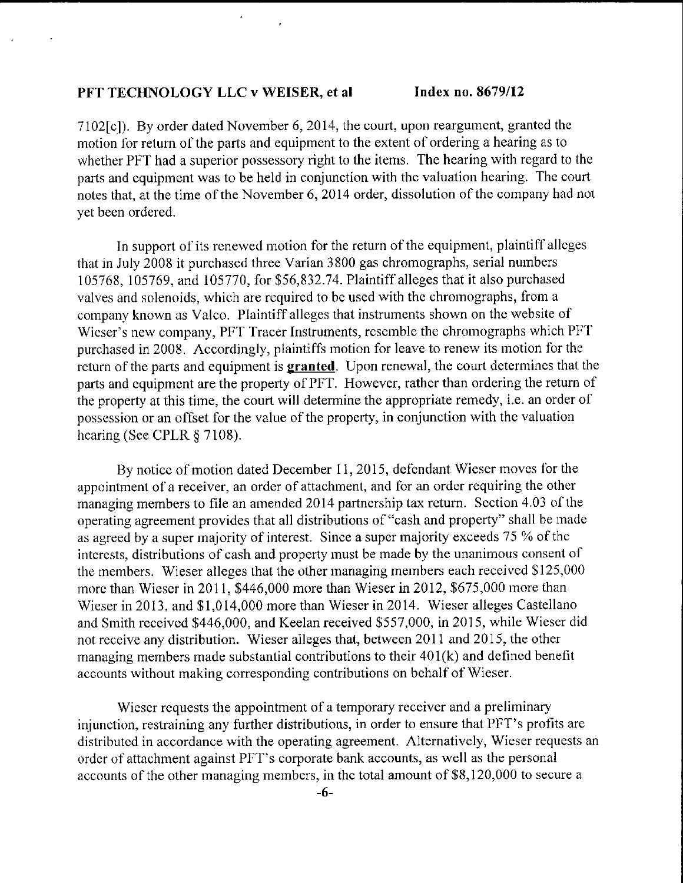$\mathbf{r}$ 

7102fcl). By order dated Novernber 6,2014, the court, upon reargument, granted the motion for return of the parts and equipment to the extent of ordering a hearing as to whether PFT had a superior possessory right to the iterns. The hearing with regard to the parts and equipment was to be held in coniunction with the valuation hearing. The court notes that, at the time of the November 6, 2014 order, dissolution of the company had not yet been ordered.

In support of its renewed motion for the return of the equipment, plaintiff alleges that in July 2008 it purchascd three Varian 3800 gas chromographs, serial nurnbers 105768, 105769, and 105770, for \$56,832.74. Plaintiffalleges that it also purohased valves and solenoids, which are required to be used with the chromographs, from a company known as Valco. Plaintiff alleges that instruments shown on the website of Wieser's new company, PFT Tracer Instruments, resemble the chromographs which PFT purchased in 2008. Accordingly, plaintiffs motion for leave to renew its motion for the return of the parts and equipment is **granted**. Upon renewal, the court determines that the parts and equipment are the property of PFT. However, rather than ordering the return of the property at this tirne, the court will determine the appropriate remedy, i.e. an order of possession or an offset for the value of thc property, in conjunction with thc valuation hearing (See CPLR § 7108).

By notice of motion dated December 11, 2015, defendant Wieser moves for the appointment of a receiver, an order of attachment, and for an order requiring the other managing members to file an amended 2014 partnership tax return. Section 4.03 of the operating agreement provides that all distributions of "cash and property" shall be made as agreed by a super majority of interest. Since a super majority exceeds 75 % of the interests, distributions of cash and property must be made by the unanimous consent of the members. Wieser alleges that the other managing members each received  $$125,000$ more than Wieser in 2011, \$446,000 more than Wieser in 2012, \$675,000 more than Wieser in 2013, and \$1,014,000 more than Wieser in 2014. Wieser alleges Castellano and Smith receivcd \$446,000, and Keelan received \$557,000, in 2015, while Wieser did not receive any distribution. Wieser alleges that, between 2011 and 2015, the other managing members made substantial contributions to their  $401(k)$  and defined benefit accounts without making corresponding oontributions on bchalf of Wieser.

Wieser requests the appointment of a temporary receiver and a preliminary injunction, restraining any further distributions, in order to ensure that PFT's profits are distributed in accordance with the operating agreement. Alternatively, Wieser requests an order of attaohment against PFT's corporate bank accounts, as well as the personal accounts of the other managing members, in the total amount of \$8,120,000 to secure a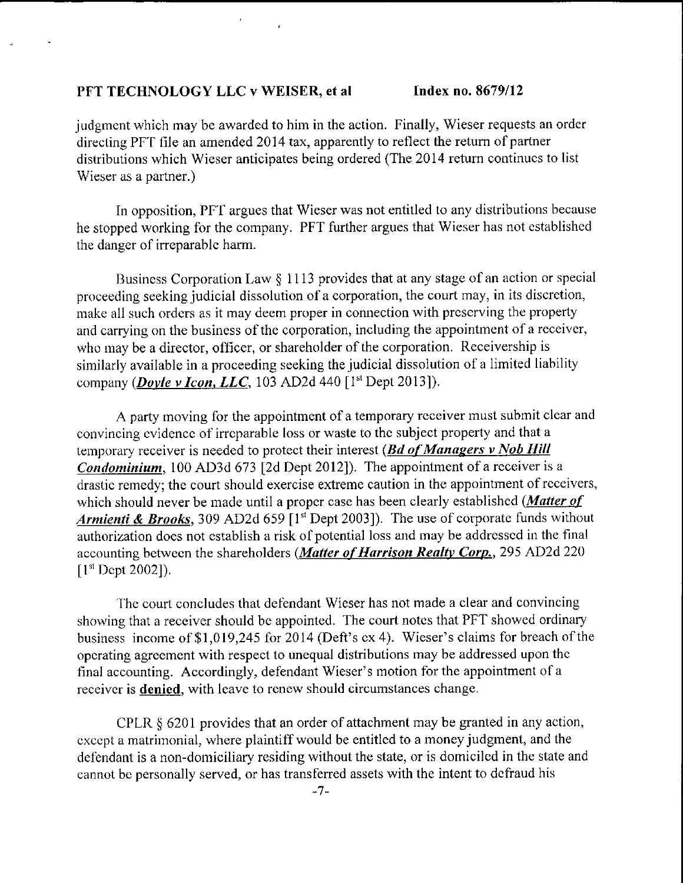judgment which may be awarded to him in the action. Finally, Wieser requests an order directing PFT file an amended 2014 tax, apparently to reflect the return of partner distributions which Wieser anticipates being ordered (The 2014 return continucs to list Wieser as a partner.)

In opposition, PFT argues that Wieser was not entitled to any distributions because he stopped working for the cornpany. PFT further argues that Wicser has not established the danger of irreparablc harm.

Business Corporation Law  $\S 1113$  provides that at any stage of an action or special proceeding seeking judicial dissolution of a corporation, the court may, in its discretion, make all such orders as it may deem proper in connection with preserving the property and carrying on the business of the corporation, including the appointment of a receiver, who may be a director, officer, or shareholder of the corporation. Receivership is siniilarly available in a proceeding seeking the judioial dissolution of a limited liability company (*Doyle v Icon, LLC*, 103 AD2d 440 [ $l<sup>st</sup>$  Dept 2013]).

A party moving for the appointment of a temporary receiver must submit clear and convincing cvidencc of irrcparable loss or waste to thc subject property and that a temporary receiver is needed to protect their interest ( $Bd$  of Managers v Nob Hill *Condominium*, 100 AD3d 673 [2d Dept 2012]). The appointment of a receiver is a drastic remedy; the court should exercise extreme caution in the appointment of receivers, which should never be made until a proper case has been clearly established (Matter of Armienti & Brooks, 309 AD2d 659 [1<sup>st</sup> Dept 2003]). The use of corporate funds without authorization does not establish a risk of potential loss and may be addressed in the final accounting between the shareholders (Matter of Harrison Realty Corp., 295 AD2d 220  $[1<sup>st</sup>$  Dept 2002]).

The court concludes that defendant Wieser has not made a clear and convincing showing that a receiver should be appointed. The court notes that PFT showed ordinary business income of  $$1,019,245$  for 2014 (Deft's ex 4). Wieser's claims for breach of the operating agreement with respect to unequal distributions may be addressed upon the final accounting. Accordingly, defendant Wieser's motion for the appointment of a receiver is **denied**, with leave to renew should circumstances change.

CPLR  $\S$  6201 provides that an order of attachment may be granted in any action, except a matrimonial, where plaintiff would be entitled to a money judgment, and the defendant is a non-domiciliary residing without the state, or is domiciled in the state and cannot bc personally served, or has transferred assets with the intent to dcfiaud his